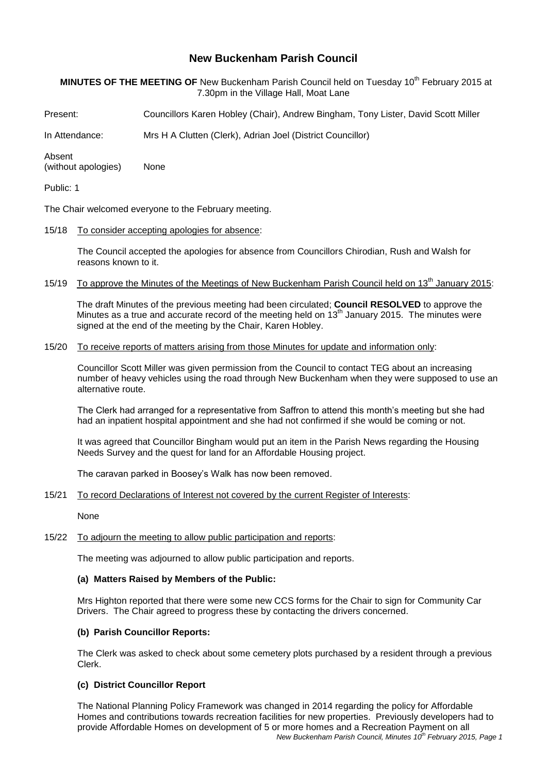# **New Buckenham Parish Council**

# **MINUTES OF THE MEETING OF** New Buckenham Parish Council held on Tuesday 10 th February 2015 at 7.30pm in the Village Hall, Moat Lane

Present: Councillors Karen Hobley (Chair), Andrew Bingham, Tony Lister, David Scott Miller

In Attendance: Mrs H A Clutten (Clerk), Adrian Joel (District Councillor)

Absent (without apologies) None

Public: 1

The Chair welcomed everyone to the February meeting.

15/18 To consider accepting apologies for absence:

The Council accepted the apologies for absence from Councillors Chirodian, Rush and Walsh for reasons known to it.

15/19 To approve the Minutes of the Meetings of New Buckenham Parish Council held on 13<sup>th</sup> January 2015:

The draft Minutes of the previous meeting had been circulated; **Council RESOLVED** to approve the Minutes as a true and accurate record of the meeting held on  $13<sup>th</sup>$  January 2015. The minutes were signed at the end of the meeting by the Chair, Karen Hobley.

#### 15/20 To receive reports of matters arising from those Minutes for update and information only:

Councillor Scott Miller was given permission from the Council to contact TEG about an increasing number of heavy vehicles using the road through New Buckenham when they were supposed to use an alternative route.

The Clerk had arranged for a representative from Saffron to attend this month's meeting but she had had an inpatient hospital appointment and she had not confirmed if she would be coming or not.

It was agreed that Councillor Bingham would put an item in the Parish News regarding the Housing Needs Survey and the quest for land for an Affordable Housing project.

The caravan parked in Boosey's Walk has now been removed.

15/21 To record Declarations of Interest not covered by the current Register of Interests:

None

# 15/22 To adjourn the meeting to allow public participation and reports:

The meeting was adjourned to allow public participation and reports.

## **(a) Matters Raised by Members of the Public:**

Mrs Highton reported that there were some new CCS forms for the Chair to sign for Community Car Drivers. The Chair agreed to progress these by contacting the drivers concerned.

# **(b) Parish Councillor Reports:**

The Clerk was asked to check about some cemetery plots purchased by a resident through a previous Clerk.

#### **(c) District Councillor Report**

*New Buckenham Parish Council, Minutes 10 th February 2015, Page 1*  The National Planning Policy Framework was changed in 2014 regarding the policy for Affordable Homes and contributions towards recreation facilities for new properties. Previously developers had to provide Affordable Homes on development of 5 or more homes and a Recreation Payment on all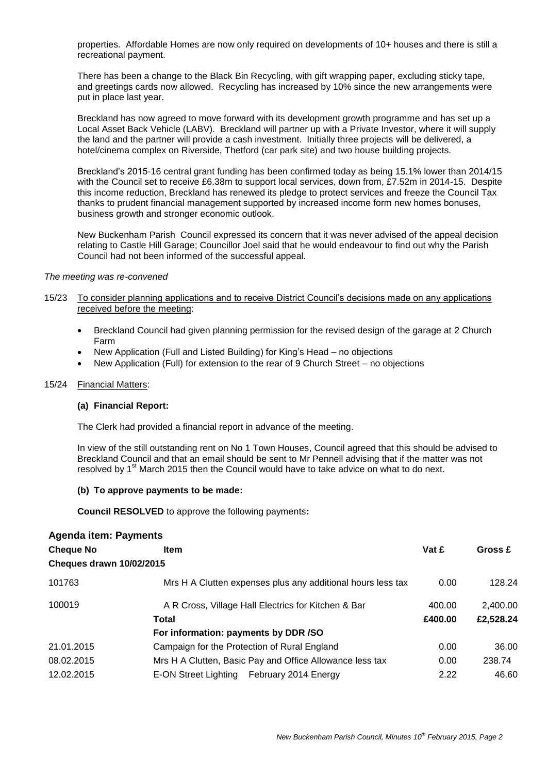properties. Affordable Homes are now only required on developments of 10+ houses and there is still a recreational payment.

There has been a change to the Black Bin Recycling, with gift wrapping paper, excluding sticky tape, and greetings cards now allowed. Recycling has increased by 10% since the new arrangements were put in place last year.

Breckland has now agreed to move forward with its development growth programme and has set up a Local Asset Back Vehicle (LABV). Breckland will partner up with a Private Investor, where it will supply the land and the partner will provide a cash investment. Initially three projects will be delivered, a hotel/cinema complex on Riverside, Thetford (car park site) and two house building projects.

Breckland's 2015-16 central grant funding has been confirmed today as being 15.1% lower than 2014/15 with the Council set to receive £6.38m to support local services, down from, £7.52m in 2014-15. Despite this income reduction, Breckland has renewed its pledge to protect services and freeze the Council Tax thanks to prudent financial management supported by increased income form new homes bonuses, business growth and stronger economic outlook.

New Buckenham Parish Council expressed its concern that it was never advised of the appeal decision relating to Castle Hill Garage; Councillor Joel said that he would endeavour to find out why the Parish Council had not been informed of the successful appeal.

### *The meeting was re-convened*

- 15/23 To consider planning applications and to receive District Council's decisions made on any applications received before the meeting:
	- Breckland Council had given planning permission for the revised design of the garage at 2 Church Farm
	- New Application (Full and Listed Building) for King's Head no objections
	- New Application (Full) for extension to the rear of 9 Church Street no objections

#### 15/24 Financial Matters:

#### **(a) Financial Report:**

The Clerk had provided a financial report in advance of the meeting.

In view of the still outstanding rent on No 1 Town Houses, Council agreed that this should be advised to Breckland Council and that an email should be sent to Mr Pennell advising that if the matter was not resolved by 1<sup>st</sup> March 2015 then the Council would have to take advice on what to do next.

#### **(b) To approve payments to be made:**

**Council RESOLVED** to approve the following payments**:**

| <b>Agenda item: Payments</b>    |                                                             |         |           |
|---------------------------------|-------------------------------------------------------------|---------|-----------|
| <b>Cheque No</b>                | <b>Item</b>                                                 | Vat £   | Gross £   |
| <b>Cheques drawn 10/02/2015</b> |                                                             |         |           |
| 101763                          | Mrs H A Clutten expenses plus any additional hours less tax | 0.00    | 128.24    |
| 100019                          | A R Cross, Village Hall Electrics for Kitchen & Bar         | 400.00  | 2,400.00  |
|                                 | Total                                                       | £400.00 | £2,528.24 |
|                                 | For information: payments by DDR /SO                        |         |           |
| 21.01.2015                      | Campaign for the Protection of Rural England                | 0.00    | 36.00     |
| 08.02.2015                      | Mrs H A Clutten, Basic Pay and Office Allowance less tax    | 0.00    | 238.74    |
| 12.02.2015                      | E-ON Street Lighting February 2014 Energy                   | 2.22    | 46.60     |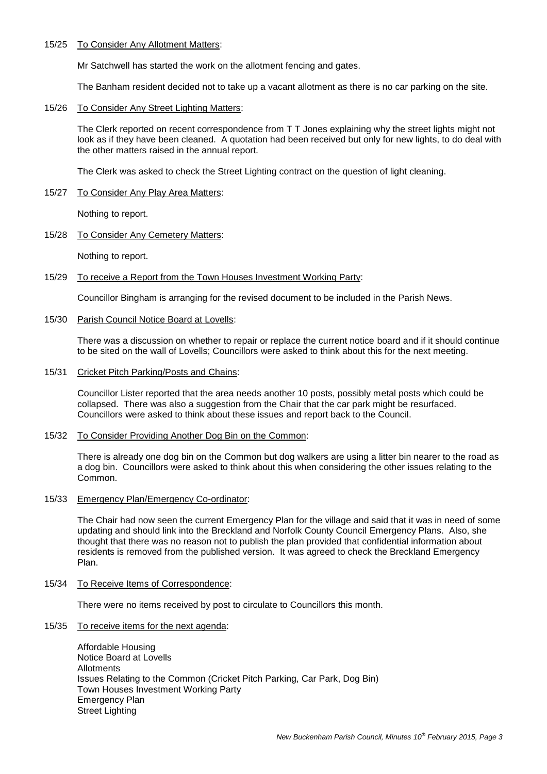#### 15/25 To Consider Any Allotment Matters:

Mr Satchwell has started the work on the allotment fencing and gates.

The Banham resident decided not to take up a vacant allotment as there is no car parking on the site.

15/26 To Consider Any Street Lighting Matters:

The Clerk reported on recent correspondence from T T Jones explaining why the street lights might not look as if they have been cleaned. A quotation had been received but only for new lights, to do deal with the other matters raised in the annual report.

The Clerk was asked to check the Street Lighting contract on the question of light cleaning.

15/27 To Consider Any Play Area Matters:

Nothing to report.

15/28 To Consider Any Cemetery Matters:

Nothing to report.

15/29 To receive a Report from the Town Houses Investment Working Party:

Councillor Bingham is arranging for the revised document to be included in the Parish News.

15/30 Parish Council Notice Board at Lovells:

There was a discussion on whether to repair or replace the current notice board and if it should continue to be sited on the wall of Lovells; Councillors were asked to think about this for the next meeting.

15/31 Cricket Pitch Parking/Posts and Chains:

Councillor Lister reported that the area needs another 10 posts, possibly metal posts which could be collapsed. There was also a suggestion from the Chair that the car park might be resurfaced. Councillors were asked to think about these issues and report back to the Council.

15/32 To Consider Providing Another Dog Bin on the Common:

There is already one dog bin on the Common but dog walkers are using a litter bin nearer to the road as a dog bin. Councillors were asked to think about this when considering the other issues relating to the Common.

15/33 Emergency Plan/Emergency Co-ordinator:

The Chair had now seen the current Emergency Plan for the village and said that it was in need of some updating and should link into the Breckland and Norfolk County Council Emergency Plans. Also, she thought that there was no reason not to publish the plan provided that confidential information about residents is removed from the published version. It was agreed to check the Breckland Emergency Plan.

15/34 To Receive Items of Correspondence:

There were no items received by post to circulate to Councillors this month.

15/35 To receive items for the next agenda:

Affordable Housing Notice Board at Lovells Allotments Issues Relating to the Common (Cricket Pitch Parking, Car Park, Dog Bin) Town Houses Investment Working Party Emergency Plan Street Lighting